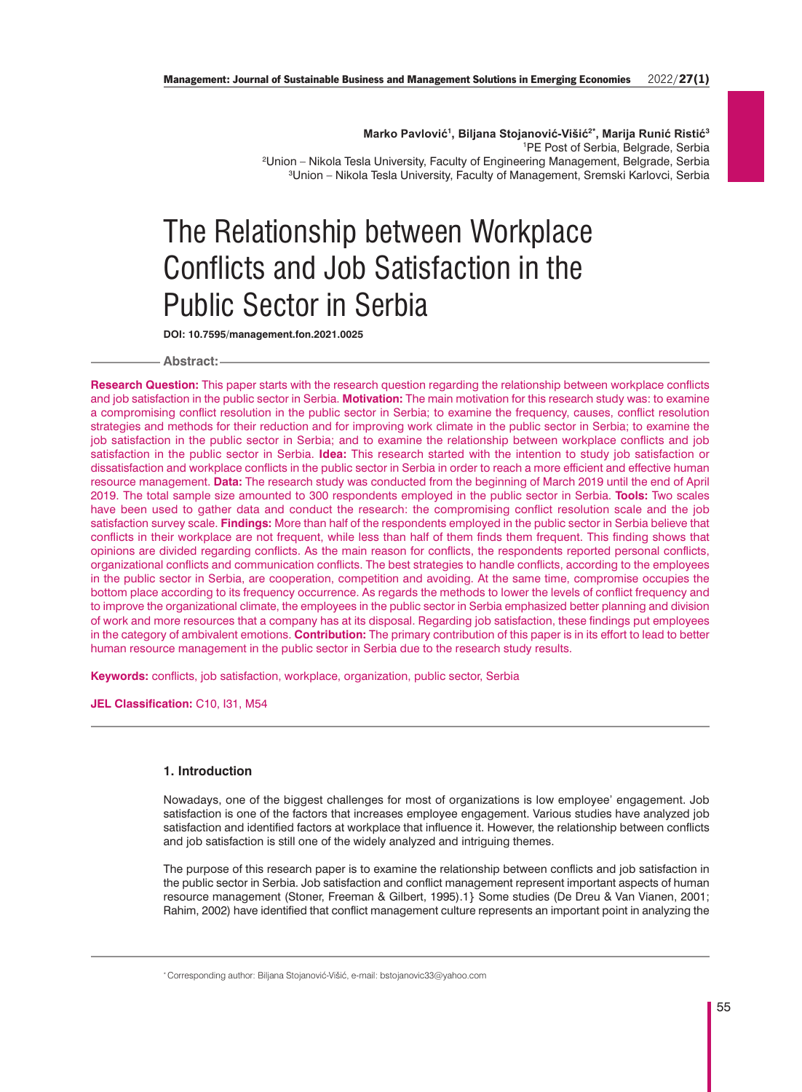**Marko Pavlović1, Biljana Stojanović-Višić2\*, Marija Runić Ristić<sup>3</sup>** PE Post of Serbia, Belgrade, Serbia Union – Nikola Tesla University, Faculty of Engineering Management, Belgrade, Serbia Union – Nikola Tesla University, Faculty of Management, Sremski Karlovci, Serbia

# The Relationship between Workplace Conflicts and Job Satisfaction in the Public Sector in Serbia

**DOI: 10.7595/management.fon.2021.0025**

## **Abstract:**

**Research Question:** This paper starts with the research question regarding the relationship between workplace conflicts and job satisfaction in the public sector in Serbia. **Motivation:** The main motivation for this research study was: to examine a compromising conflict resolution in the public sector in Serbia; to examine the frequency, causes, conflict resolution strategies and methods for their reduction and for improving work climate in the public sector in Serbia; to examine the job satisfaction in the public sector in Serbia; and to examine the relationship between workplace conflicts and job satisfaction in the public sector in Serbia. **Idea:** This research started with the intention to study job satisfaction or dissatisfaction and workplace conflicts in the public sector in Serbia in order to reach a more efficient and effective human resource management. **Data:** The research study was conducted from the beginning of March 2019 until the end of April 2019. The total sample size amounted to 300 respondents employed in the public sector in Serbia. **Tools:** Two scales have been used to gather data and conduct the research: the compromising conflict resolution scale and the job satisfaction survey scale. **Findings:** More than half of the respondents employed in the public sector in Serbia believe that conflicts in their workplace are not frequent, while less than half of them finds them frequent. This finding shows that opinions are divided regarding conflicts. As the main reason for conflicts, the respondents reported personal conflicts, organizational conflicts and communication conflicts. The best strategies to handle conflicts, according to the employees in the public sector in Serbia, are cooperation, competition and avoiding. At the same time, compromise occupies the bottom place according to its frequency occurrence. As regards the methods to lower the levels of conflict frequency and to improve the organizational climate, the employees in the public sector in Serbia emphasized better planning and division of work and more resources that a company has at its disposal. Regarding job satisfaction, these findings put employees in the category of ambivalent emotions. **Contribution:** The primary contribution of this paper is in its effort to lead to better human resource management in the public sector in Serbia due to the research study results.

**Keywords:** conflicts, job satisfaction, workplace, organization, public sector, Serbia

**JEL Classification:** C10, I31, M54

# **1. Introduction**

Nowadays, one of the biggest challenges for most of organizations is low employee' engagement. Job satisfaction is one of the factors that increases employee engagement. Various studies have analyzed job satisfaction and identified factors at workplace that influence it. However, the relationship between conflicts and job satisfaction is still one of the widely analyzed and intriguing themes.

The purpose of this research paper is to examine the relationship between conflicts and job satisfaction in the public sector in Serbia. Job satisfaction and conflict management represent important aspects of human resource management (Stoner, Freeman & Gilbert, 1995).1} Some studies (De Dreu & Van Vianen, 2001; Rahim, 2002) have identified that conflict management culture represents an important point in analyzing the

\* Corresponding author: Biljana Stojanović-Višić, e-mail: bstojanovic33@yahoo.com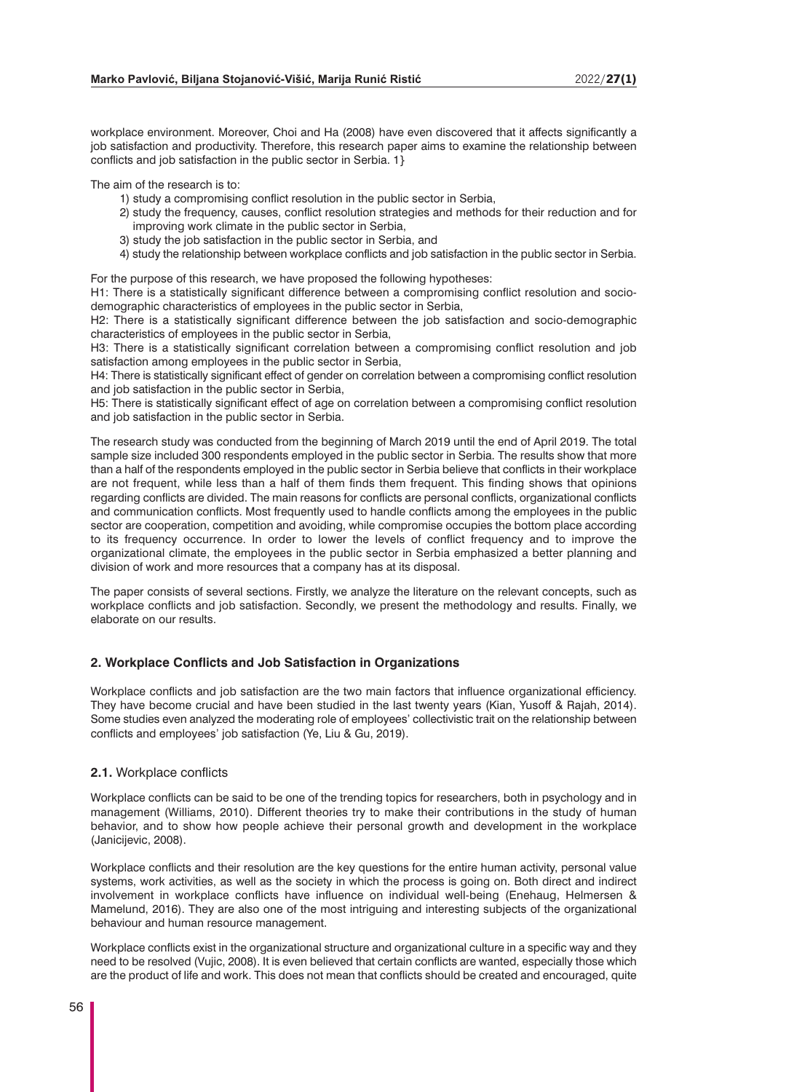workplace environment. Moreover, Choi and Ha (2008) have even discovered that it affects significantly a job satisfaction and productivity. Therefore, this research paper aims to examine the relationship between conflicts and job satisfaction in the public sector in Serbia. 1}

The aim of the research is to:

- 1) study a compromising conflict resolution in the public sector in Serbia,
- 2) study the frequency, causes, conflict resolution strategies and methods for their reduction and for improving work climate in the public sector in Serbia,
- 3) study the job satisfaction in the public sector in Serbia, and
- 4) study the relationship between workplace conflicts and job satisfaction in the public sector in Serbia.

For the purpose of this research, we have proposed the following hypotheses:

H1: There is a statistically significant difference between a compromising conflict resolution and sociodemographic characteristics of employees in the public sector in Serbia,

H2: There is a statistically significant difference between the job satisfaction and socio-demographic characteristics of employees in the public sector in Serbia,

H3: There is a statistically significant correlation between a compromising conflict resolution and job satisfaction among employees in the public sector in Serbia,

H4: There is statistically significant effect of gender on correlation between a compromising conflict resolution and job satisfaction in the public sector in Serbia,

H5: There is statistically significant effect of age on correlation between a compromising conflict resolution and job satisfaction in the public sector in Serbia.

The research study was conducted from the beginning of March 2019 until the end of April 2019. The total sample size included 300 respondents employed in the public sector in Serbia. The results show that more than a half of the respondents employed in the public sector in Serbia believe that conflicts in their workplace are not frequent, while less than a half of them finds them frequent. This finding shows that opinions regarding conflicts are divided. The main reasons for conflicts are personal conflicts, organizational conflicts and communication conflicts. Most frequently used to handle conflicts among the employees in the public sector are cooperation, competition and avoiding, while compromise occupies the bottom place according to its frequency occurrence. In order to lower the levels of conflict frequency and to improve the organizational climate, the employees in the public sector in Serbia emphasized a better planning and division of work and more resources that a company has at its disposal.

The paper consists of several sections. Firstly, we analyze the literature on the relevant concepts, such as workplace conflicts and job satisfaction. Secondly, we present the methodology and results. Finally, we elaborate on our results.

#### **2. Workplace Conflicts and Job Satisfaction in Organizations**

Workplace conflicts and job satisfaction are the two main factors that influence organizational efficiency. They have become crucial and have been studied in the last twenty years (Kian, Yusoff & Rajah, 2014). Some studies even analyzed the moderating role of employees' collectivistic trait on the relationship between conflicts and employees' job satisfaction (Ye, Liu & Gu, 2019).

### **2.1.** Workplace conflicts

Workplace conflicts can be said to be one of the trending topics for researchers, both in psychology and in management (Williams, 2010). Different theories try to make their contributions in the study of human behavior, and to show how people achieve their personal growth and development in the workplace (Janicijevic, 2008).

Workplace conflicts and their resolution are the key questions for the entire human activity, personal value systems, work activities, as well as the society in which the process is going on. Both direct and indirect involvement in workplace conflicts have influence on individual well-being (Enehaug, Helmersen & Mamelund, 2016). They are also one of the most intriguing and interesting subjects of the organizational behaviour and human resource management.

Workplace conflicts exist in the organizational structure and organizational culture in a specific way and they need to be resolved (Vujic, 2008). It is even believed that certain conflicts are wanted, especially those which are the product of life and work. This does not mean that conflicts should be created and encouraged, quite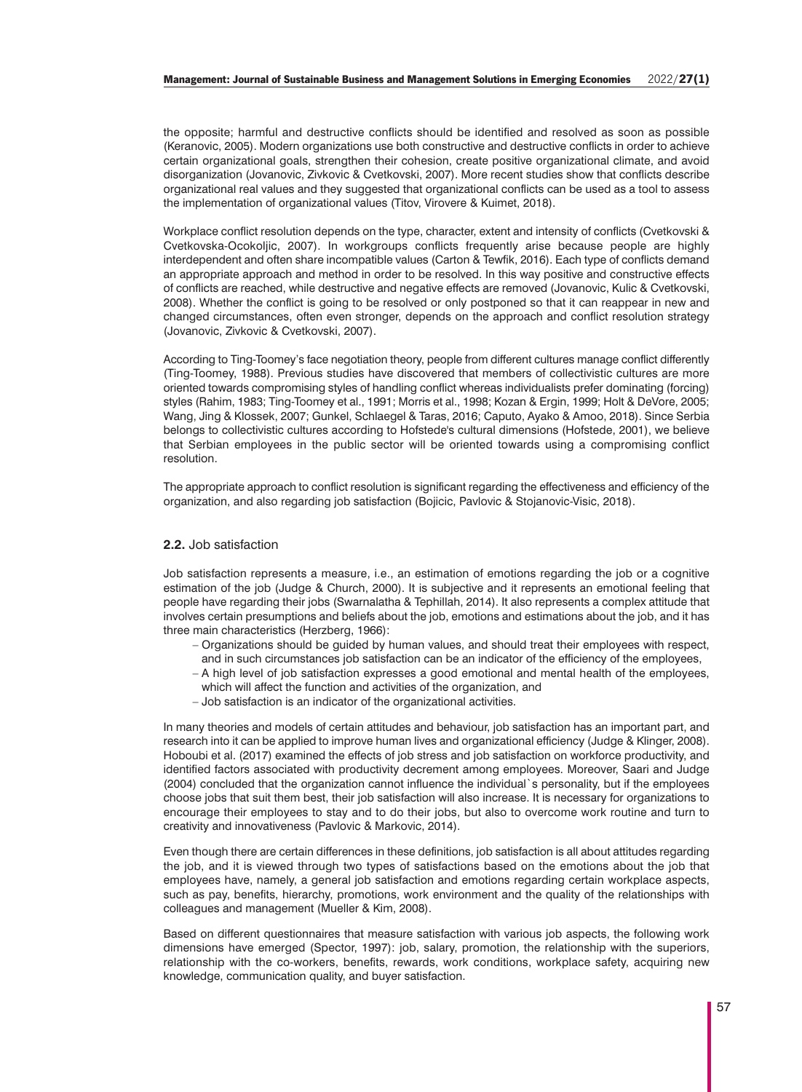the opposite; harmful and destructive conflicts should be identified and resolved as soon as possible (Keranovic, 2005). Modern organizations use both constructive and destructive conflicts in order to achieve certain organizational goals, strengthen their cohesion, create positive organizational climate, and avoid disorganization (Jovanovic, Zivkovic & Cvetkovski, 2007). More recent studies show that conflicts describe organizational real values and they suggested that organizational conflicts can be used as a tool to assess the implementation of organizational values (Titov, Virovere & Kuimet, 2018).

Workplace conflict resolution depends on the type, character, extent and intensity of conflicts (Cvetkovski & Cvetkovska-Ocokoljic, 2007). In workgroups conflicts frequently arise because people are highly interdependent and often share incompatible values (Carton & Tewfik, 2016). Each type of conflicts demand an appropriate approach and method in order to be resolved. In this way positive and constructive effects of conflicts are reached, while destructive and negative effects are removed (Jovanovic, Kulic & Cvetkovski, 2008). Whether the conflict is going to be resolved or only postponed so that it can reappear in new and changed circumstances, often even stronger, depends on the approach and conflict resolution strategy (Jovanovic, Zivkovic & Cvetkovski, 2007).

According to Ting-Toomey's face negotiation theory, people from different cultures manage conflict differently (Ting-Toomey, 1988). Previous studies have discovered that members of collectivistic cultures are more oriented towards compromising styles of handling conflict whereas individualists prefer dominating (forcing) styles (Rahim, 1983; Ting-Toomey et al., 1991; Morris et al., 1998; Kozan & Ergin, 1999; Holt & DeVore, 2005; Wang, Jing & Klossek, 2007; Gunkel, Schlaegel & Taras, 2016; Caputo, Ayako & Amoo, 2018). Since Serbia belongs to collectivistic cultures according to Hofstede's cultural dimensions (Hofstede, 2001), we believe that Serbian employees in the public sector will be oriented towards using a compromising conflict resolution.

The appropriate approach to conflict resolution is significant regarding the effectiveness and efficiency of the organization, and also regarding job satisfaction (Bojicic, Pavlovic & Stojanovic-Visic, 2018).

# **2.2.** Job satisfaction

Job satisfaction represents a measure, i.e., an estimation of emotions regarding the job or a cognitive estimation of the job (Judge & Church, 2000). It is subjective and it represents an emotional feeling that people have regarding their jobs (Swarnalatha & Tephillah, 2014). It also represents a complex attitude that involves certain presumptions and beliefs about the job, emotions and estimations about the job, and it has three main characteristics (Herzberg, 1966):

- − Organizations should be guided by human values, and should treat their employees with respect, and in such circumstances job satisfaction can be an indicator of the efficiency of the employees,
- − A high level of job satisfaction expresses a good emotional and mental health of the employees,
- which will affect the function and activities of the organization, and
- − Job satisfaction is an indicator of the organizational activities.

In many theories and models of certain attitudes and behaviour, job satisfaction has an important part, and research into it can be applied to improve human lives and organizational efficiency (Judge & Klinger, 2008). Hoboubi et al. (2017) examined the effects of job stress and job satisfaction on workforce productivity, and identified factors associated with productivity decrement among employees. Moreover, Saari and Judge (2004) concluded that the organization cannot influence the individual`s personality, but if the employees choose jobs that suit them best, their job satisfaction will also increase. It is necessary for organizations to encourage their employees to stay and to do their jobs, but also to overcome work routine and turn to creativity and innovativeness (Pavlovic & Markovic, 2014).

Even though there are certain differences in these definitions, job satisfaction is all about attitudes regarding the job, and it is viewed through two types of satisfactions based on the emotions about the job that employees have, namely, a general job satisfaction and emotions regarding certain workplace aspects, such as pay, benefits, hierarchy, promotions, work environment and the quality of the relationships with colleagues and management (Mueller & Kim, 2008).

Based on different questionnaires that measure satisfaction with various job aspects, the following work dimensions have emerged (Spector, 1997): job, salary, promotion, the relationship with the superiors, relationship with the co-workers, benefits, rewards, work conditions, workplace safety, acquiring new knowledge, communication quality, and buyer satisfaction.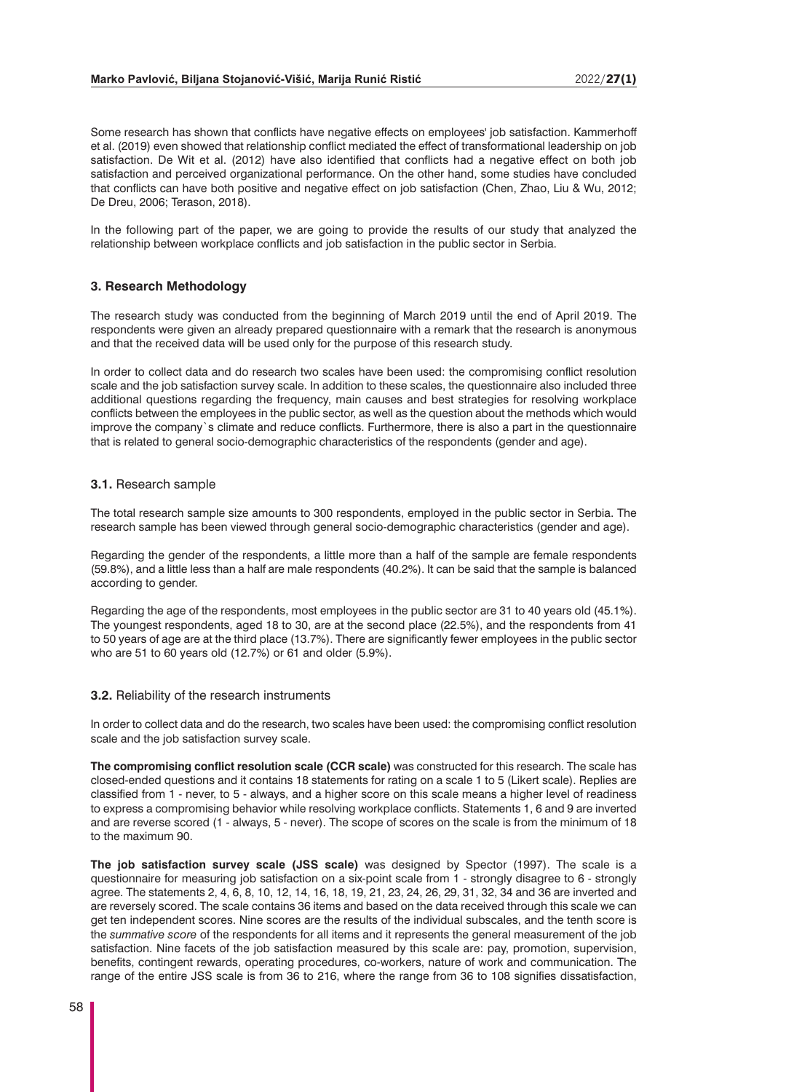#### **Marko Pavlović, Biljana Stojanović-Višić, Marija Runić Ristić** 2022/**27(1)**

Some research has shown that conflicts have negative effects on employees' job satisfaction. Kammerhoff et al. (2019) even showed that relationship conflict mediated the effect of transformational leadership on job satisfaction. De Wit et al. (2012) have also identified that conflicts had a negative effect on both job satisfaction and perceived organizational performance. On the other hand, some studies have concluded that conflicts can have both positive and negative effect on job satisfaction (Chen, Zhao, Liu & Wu, 2012; De Dreu, 2006; Terason, 2018).

In the following part of the paper, we are going to provide the results of our study that analyzed the relationship between workplace conflicts and job satisfaction in the public sector in Serbia.

#### **3. Research Methodology**

The research study was conducted from the beginning of March 2019 until the end of April 2019. The respondents were given an already prepared questionnaire with a remark that the research is anonymous and that the received data will be used only for the purpose of this research study.

In order to collect data and do research two scales have been used: the compromising conflict resolution scale and the job satisfaction survey scale. In addition to these scales, the questionnaire also included three additional questions regarding the frequency, main causes and best strategies for resolving workplace conflicts between the employees in the public sector, as well as the question about the methods which would improve the company`s climate and reduce conflicts. Furthermore, there is also a part in the questionnaire that is related to general socio-demographic characteristics of the respondents (gender and age).

#### **3.1.** Research sample

The total research sample size amounts to 300 respondents, employed in the public sector in Serbia. The research sample has been viewed through general socio-demographic characteristics (gender and age).

Regarding the gender of the respondents, a little more than a half of the sample are female respondents (59.8%), and a little less than a half are male respondents (40.2%). It can be said that the sample is balanced according to gender.

Regarding the age of the respondents, most employees in the public sector are 31 to 40 years old (45.1%). The youngest respondents, aged 18 to 30, are at the second place (22.5%), and the respondents from 41 to 50 years of age are at the third place (13.7%). There are significantly fewer employees in the public sector who are 51 to 60 years old (12.7%) or 61 and older (5.9%).

## **3.2.** Reliability of the research instruments

In order to collect data and do the research, two scales have been used: the compromising conflict resolution scale and the job satisfaction survey scale.

**The compromising conflict resolution scale (CCR scale)** was constructed for this research. The scale has closed-ended questions and it contains 18 statements for rating on a scale 1 to 5 (Likert scale). Replies are classified from 1 - never, to 5 - always, and a higher score on this scale means a higher level of readiness to express a compromising behavior while resolving workplace conflicts. Statements 1, 6 and 9 are inverted and are reverse scored (1 - always, 5 - never). The scope of scores on the scale is from the minimum of 18 to the maximum 90.

**The job satisfaction survey scale (JSS scale)** was designed by Spector (1997). The scale is a questionnaire for measuring job satisfaction on a six-point scale from 1 - strongly disagree to 6 - strongly agree. The statements 2, 4, 6, 8, 10, 12, 14, 16, 18, 19, 21, 23, 24, 26, 29, 31, 32, 34 and 36 are inverted and are reversely scored. The scale contains 36 items and based on the data received through this scale we can get ten independent scores. Nine scores are the results of the individual subscales, and the tenth score is the *summative score* of the respondents for all items and it represents the general measurement of the job satisfaction. Nine facets of the job satisfaction measured by this scale are: pay, promotion, supervision, benefits, contingent rewards, operating procedures, co-workers, nature of work and communication. The range of the entire JSS scale is from 36 to 216, where the range from 36 to 108 signifies dissatisfaction,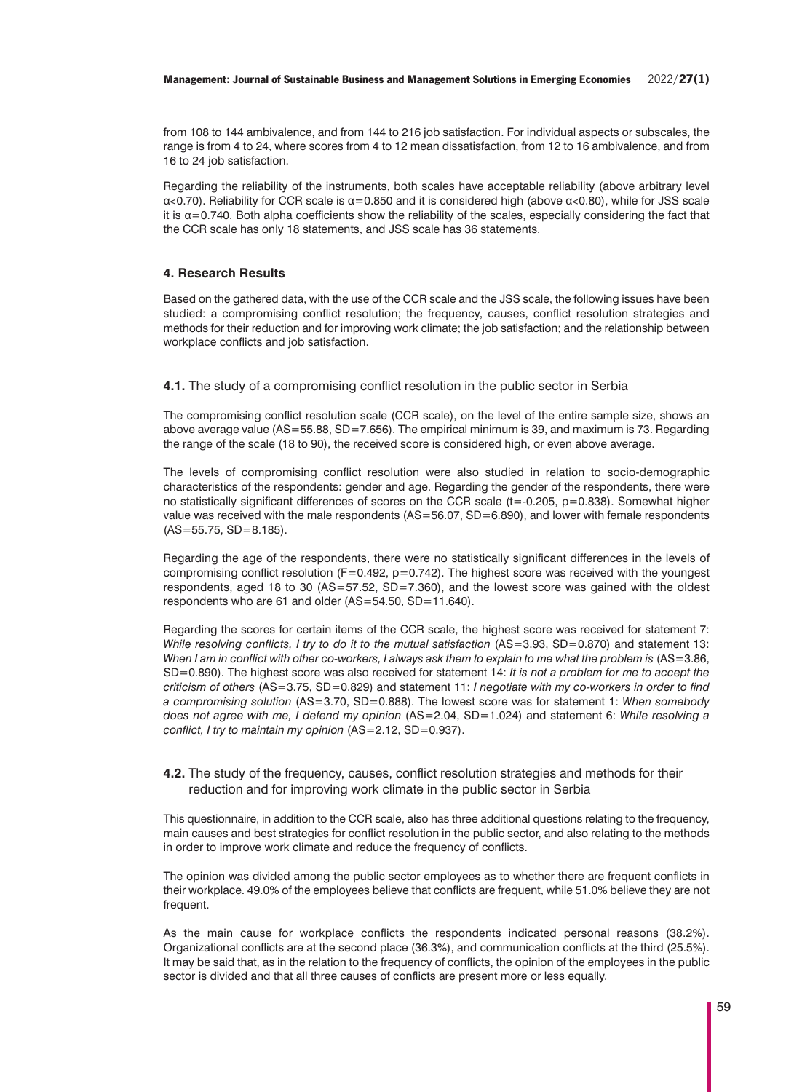from 108 to 144 ambivalence, and from 144 to 216 job satisfaction. For individual aspects or subscales, the range is from 4 to 24, where scores from 4 to 12 mean dissatisfaction, from 12 to 16 ambivalence, and from 16 to 24 job satisfaction.

Regarding the reliability of the instruments, both scales have acceptable reliability (above arbitrary level  $\alpha$ <0.70). Reliability for CCR scale is  $\alpha$ =0.850 and it is considered high (above  $\alpha$ <0.80), while for JSS scale it is  $\alpha$ =0.740. Both alpha coefficients show the reliability of the scales, especially considering the fact that the CCR scale has only 18 statements, and JSS scale has 36 statements.

## **4. Research Results**

Based on the gathered data, with the use of the CCR scale and the JSS scale, the following issues have been studied: a compromising conflict resolution; the frequency, causes, conflict resolution strategies and methods for their reduction and for improving work climate; the job satisfaction; and the relationship between workplace conflicts and job satisfaction.

**4.1.** The study of a compromising conflict resolution in the public sector in Serbia

The compromising conflict resolution scale (CCR scale), on the level of the entire sample size, shows an above average value (AS=55.88, SD=7.656). The empirical minimum is 39, and maximum is 73. Regarding the range of the scale (18 to 90), the received score is considered high, or even above average.

The levels of compromising conflict resolution were also studied in relation to socio-demographic characteristics of the respondents: gender and age. Regarding the gender of the respondents, there were no statistically significant differences of scores on the CCR scale (t=-0.205, p=0.838). Somewhat higher value was received with the male respondents (AS=56.07, SD=6.890), and lower with female respondents  $(AS = 55.75, SD = 8.185)$ .

Regarding the age of the respondents, there were no statistically significant differences in the levels of compromising conflict resolution  $(F=0.492, p=0.742)$ . The highest score was received with the youngest respondents, aged 18 to 30 (AS=57.52, SD=7.360), and the lowest score was gained with the oldest respondents who are 61 and older (AS=54.50, SD=11.640).

Regarding the scores for certain items of the CCR scale, the highest score was received for statement 7: *While resolving conflicts, I try to do it to the mutual satisfaction (AS=3.93, SD=0.870) and statement 13:* When I am in conflict with other co-workers, I always ask them to explain to me what the problem is (AS=3.86, SD=0.890). The highest score was also received for statement 14: *It is not a problem for me to accept the criticism of others* (AS=3.75, SD=0.829) and statement 11: *I negotiate with my co-workers in order to find a compromising solution* (AS=3.70, SD=0.888). The lowest score was for statement 1: *When somebody does not agree with me, I defend my opinion* (AS=2.04, SD=1.024) and statement 6: *While resolving a conflict, I try to maintain my opinion* (AS=2.12, SD=0.937).

## **4.2.** The study of the frequency, causes, conflict resolution strategies and methods for their reduction and for improving work climate in the public sector in Serbia

This questionnaire, in addition to the CCR scale, also has three additional questions relating to the frequency, main causes and best strategies for conflict resolution in the public sector, and also relating to the methods in order to improve work climate and reduce the frequency of conflicts.

The opinion was divided among the public sector employees as to whether there are frequent conflicts in their workplace. 49.0% of the employees believe that conflicts are frequent, while 51.0% believe they are not frequent.

As the main cause for workplace conflicts the respondents indicated personal reasons (38.2%). Organizational conflicts are at the second place (36.3%), and communication conflicts at the third (25.5%). It may be said that, as in the relation to the frequency of conflicts, the opinion of the employees in the public sector is divided and that all three causes of conflicts are present more or less equally.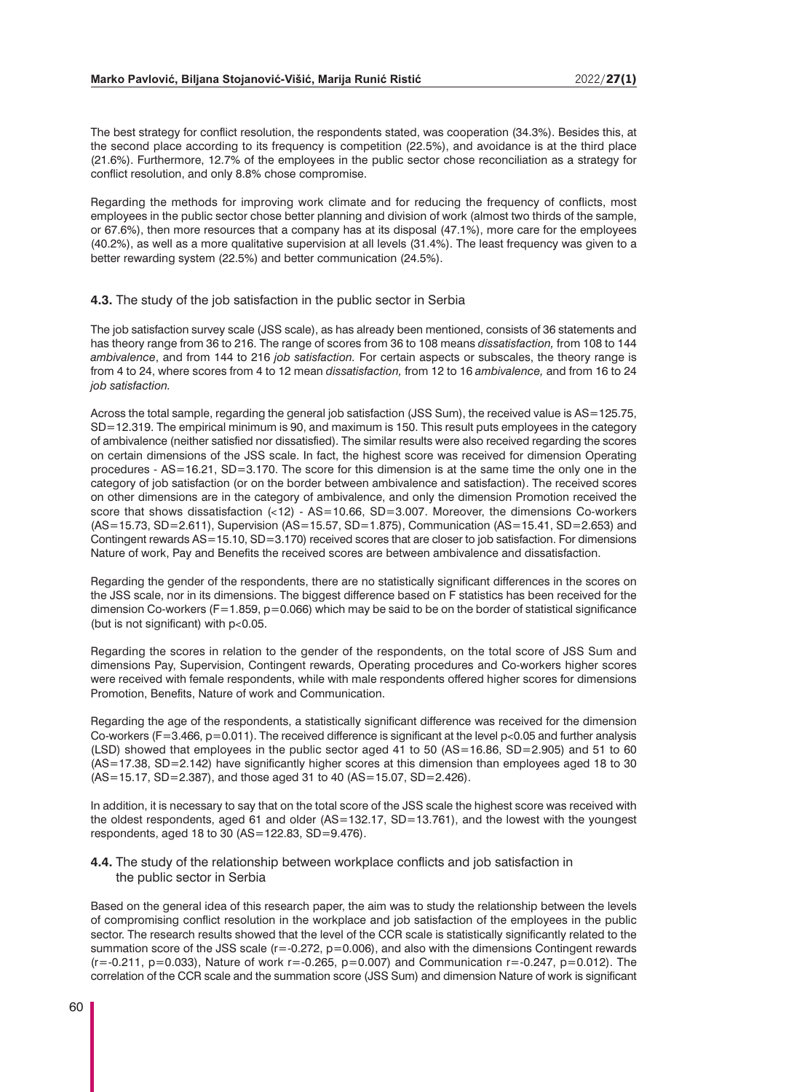The best strategy for conflict resolution, the respondents stated, was cooperation (34.3%). Besides this, at the second place according to its frequency is competition (22.5%), and avoidance is at the third place (21.6%). Furthermore, 12.7% of the employees in the public sector chose reconciliation as a strategy for conflict resolution, and only 8.8% chose compromise.

Regarding the methods for improving work climate and for reducing the frequency of conflicts, most employees in the public sector chose better planning and division of work (almost two thirds of the sample, or 67.6%), then more resources that a company has at its disposal (47.1%), more care for the employees (40.2%), as well as a more qualitative supervision at all levels (31.4%). The least frequency was given to a better rewarding system (22.5%) and better communication (24.5%).

#### **4.3.** The study of the job satisfaction in the public sector in Serbia

The job satisfaction survey scale (JSS scale), as has already been mentioned, consists of 36 statements and has theory range from 36 to 216. The range of scores from 36 to 108 means *dissatisfaction,* from 108 to 144 *ambivalence*, and from 144 to 216 *job satisfaction.* For certain aspects or subscales, the theory range is from 4 to 24, where scores from 4 to 12 mean *dissatisfaction,* from 12 to 16 *ambivalence,* and from 16 to 24 *job satisfaction.*

Across the total sample, regarding the general job satisfaction (JSS Sum), the received value is AS=125.75, SD=12.319. The empirical minimum is 90, and maximum is 150. This result puts employees in the category of ambivalence (neither satisfied nor dissatisfied). The similar results were also received regarding the scores on certain dimensions of the JSS scale. In fact, the highest score was received for dimension Operating procedures - AS=16.21, SD=3.170. The score for this dimension is at the same time the only one in the category of job satisfaction (or on the border between ambivalence and satisfaction). The received scores on other dimensions are in the category of ambivalence, and only the dimension Promotion received the score that shows dissatisfaction  $\langle$ <12) - AS=10.66, SD=3.007. Moreover, the dimensions Co-workers (AS=15.73, SD=2.611), Supervision (AS=15.57, SD=1.875), Communication (AS=15.41, SD=2.653) and Contingent rewards AS=15.10, SD=3.170) received scores that are closer to job satisfaction. For dimensions Nature of work, Pay and Benefits the received scores are between ambivalence and dissatisfaction.

Regarding the gender of the respondents, there are no statistically significant differences in the scores on the JSS scale, nor in its dimensions. The biggest difference based on F statistics has been received for the dimension Co-workers ( $F=1.859$ ,  $p=0.066$ ) which may be said to be on the border of statistical significance (but is not significant) with p˂0.05.

Regarding the scores in relation to the gender of the respondents, on the total score of JSS Sum and dimensions Pay, Supervision, Contingent rewards, Operating procedures and Co-workers higher scores were received with female respondents, while with male respondents offered higher scores for dimensions Promotion, Benefits, Nature of work and Communication.

Regarding the age of the respondents, a statistically significant difference was received for the dimension Co-workers (F=3.466, p=0.011). The received difference is significant at the level p˂0.05 and further analysis  $(LSD)$  showed that employees in the public sector aged 41 to 50  $(AS=16.86, SD=2.905)$  and 51 to 60 (AS=17.38, SD=2.142) have significantly higher scores at this dimension than employees aged 18 to 30 (AS=15.17, SD=2.387), and those aged 31 to 40 (AS=15.07, SD=2.426).

In addition, it is necessary to say that on the total score of the JSS scale the highest score was received with the oldest respondents, aged 61 and older (AS=132.17, SD=13.761), and the lowest with the youngest respondents, aged 18 to 30 (AS=122.83, SD=9.476).

**4.4.** The study of the relationship between workplace conflicts and job satisfaction in the public sector in Serbia

Based on the general idea of this research paper, the aim was to study the relationship between the levels of compromising conflict resolution in the workplace and job satisfaction of the employees in the public sector. The research results showed that the level of the CCR scale is statistically significantly related to the summation score of the JSS scale (r=-0.272, p=0.006), and also with the dimensions Contingent rewards  $(r=-0.211, p=0.033)$ , Nature of work r=-0.265, p=0.007) and Communication r=-0.247, p=0.012). The correlation of the CCR scale and the summation score (JSS Sum) and dimension Nature of work is significant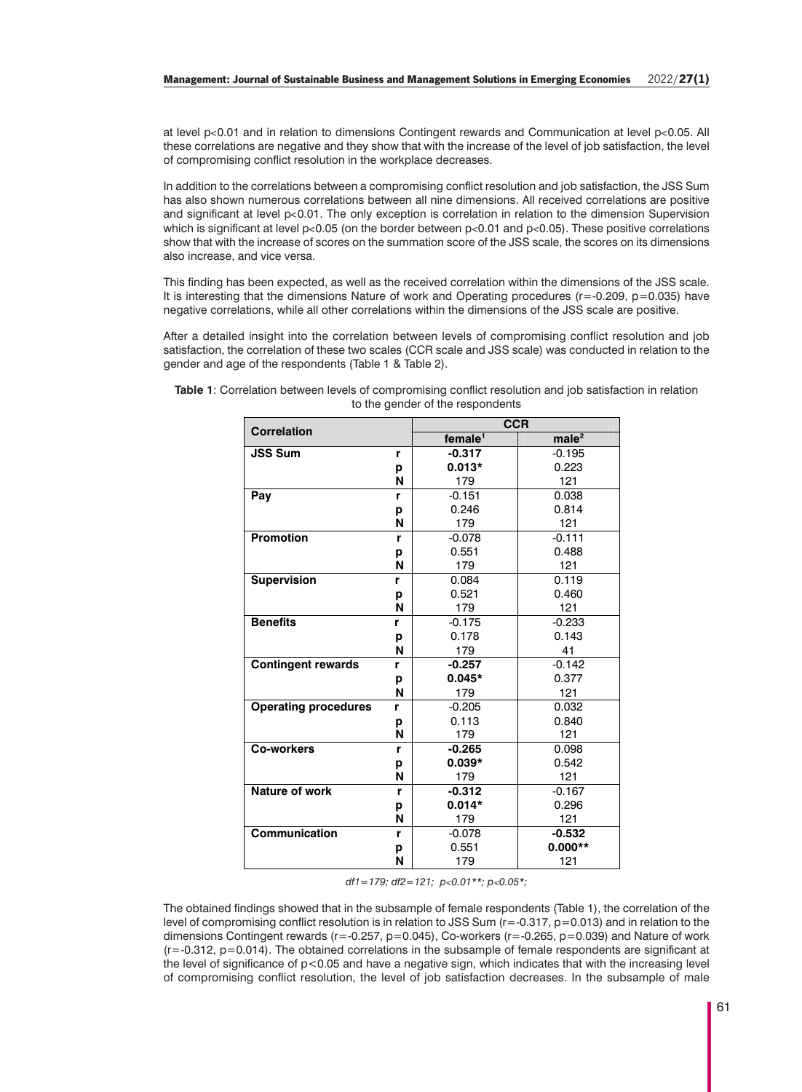at level p˂0.01 and in relation to dimensions Contingent rewards and Communication at level p˂0.05. All these correlations are negative and they show that with the increase of the level of job satisfaction, the level of compromising conflict resolution in the workplace decreases.

In addition to the correlations between a compromising conflict resolution and job satisfaction, the JSS Sum has also shown numerous correlations between all nine dimensions. All received correlations are positive and significant at level p<0.01. The only exception is correlation in relation to the dimension Supervision which is significant at level  $p<0.05$  (on the border between  $p<0.01$  and  $p<0.05$ ). These positive correlations show that with the increase of scores on the summation score of the JSS scale, the scores on its dimensions also increase, and vice versa.

This finding has been expected, as well as the received correlation within the dimensions of the JSS scale. It is interesting that the dimensions Nature of work and Operating procedures ( $r=-0.209$ ,  $p=0.035$ ) have negative correlations, while all other correlations within the dimensions of the JSS scale are positive.

After a detailed insight into the correlation between levels of compromising conflict resolution and job satisfaction, the correlation of these two scales (CCR scale and JSS scale) was conducted in relation to the gender and age of the respondents (Table 1 & Table 2).

| <b>Correlation</b>          |   | <b>CCR</b>             |                   |  |  |  |
|-----------------------------|---|------------------------|-------------------|--|--|--|
|                             |   | $f$ emale <sup>1</sup> | male <sup>2</sup> |  |  |  |
| <b>JSS Sum</b>              | r | $-0.317$               | $-0.195$          |  |  |  |
|                             | p | $0.013*$               | 0.223             |  |  |  |
|                             | N | 179                    | 121               |  |  |  |
| Pay                         | r | $-0.151$               | 0.038             |  |  |  |
|                             | р | 0.246                  | 0.814             |  |  |  |
|                             | N | 179                    | 121               |  |  |  |
| <b>Promotion</b>            | r | $-0.078$               | $-0.111$          |  |  |  |
|                             | р | 0.551                  | 0.488             |  |  |  |
|                             | N | 179                    | 121               |  |  |  |
| <b>Supervision</b>          | r | 0.084                  | 0.119             |  |  |  |
|                             | р | 0.521                  | 0.460             |  |  |  |
|                             | N | 179                    | 121               |  |  |  |
| <b>Benefits</b>             | r | $-0.175$               | $-0.233$          |  |  |  |
|                             | р | 0.178                  | 0.143             |  |  |  |
|                             | N | 179                    | 41                |  |  |  |
| <b>Contingent rewards</b>   | r | $-0.257$               | $-0.142$          |  |  |  |
|                             | р | $0.045*$               | 0.377             |  |  |  |
|                             | N | 179                    | 121               |  |  |  |
| <b>Operating procedures</b> | r | $-0.205$               | 0.032             |  |  |  |
|                             | p | 0.113                  | 0.840             |  |  |  |
|                             | N | 179                    | 121               |  |  |  |
| Co-workers                  | r | $-0.265$               | 0.098             |  |  |  |
|                             | р | $0.039*$               | 0.542             |  |  |  |
|                             | N | 179                    | 121               |  |  |  |
| Nature of work              | r | $-0.312$               | $-0.167$          |  |  |  |
|                             | р | $0.014*$               | 0.296             |  |  |  |
|                             | N | 179                    | 121               |  |  |  |
| Communication               | r | $-0.078$               | $-0.532$          |  |  |  |
|                             | p | 0.551                  | $0.000**$         |  |  |  |
|                             | N | 179                    | 121               |  |  |  |

**Table 1**: Correlation between levels of compromising conflict resolution and job satisfaction in relation to the gender of the respondents

*df1=179; df2=121; p*˂*0.01\*\*; p*˂*0.05\*;*

The obtained findings showed that in the subsample of female respondents (Table 1), the correlation of the level of compromising conflict resolution is in relation to JSS Sum (r=-0.317, p=0.013) and in relation to the dimensions Contingent rewards (r=-0.257, p=0.045), Co-workers (r=-0.265, p=0.039) and Nature of work  $(r=0.312, p=0.014)$ . The obtained correlations in the subsample of female respondents are significant at the level of significance of p<0.05 and have a negative sign, which indicates that with the increasing level of compromising conflict resolution, the level of job satisfaction decreases. In the subsample of male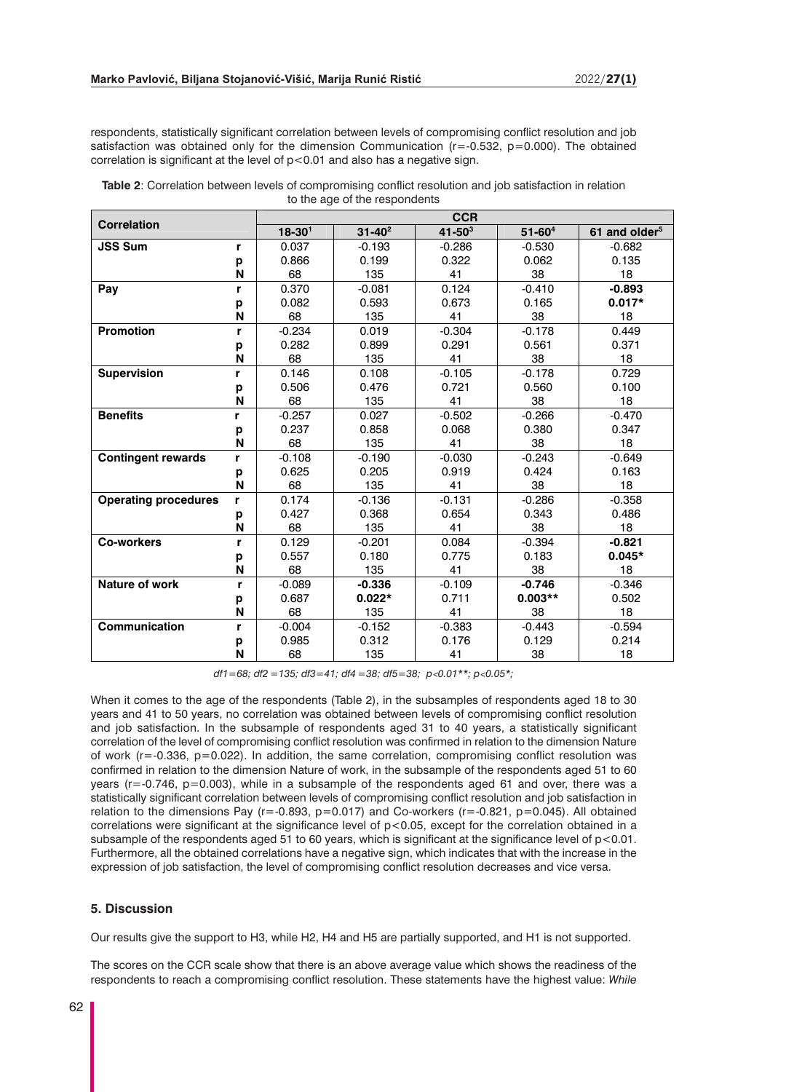respondents, statistically significant correlation between levels of compromising conflict resolution and job satisfaction was obtained only for the dimension Communication  $(r=0.532, p=0.000)$ . The obtained correlation is significant at the level of p<0.01 and also has a negative sign.

| <b>Table 2:</b> Correlation between levels of compromising conflict resolution and job satisfaction in relation |
|-----------------------------------------------------------------------------------------------------------------|
| to the age of the respondents                                                                                   |

| <b>Correlation</b>          |   | <b>CCR</b> |             |             |             |                           |  |  |
|-----------------------------|---|------------|-------------|-------------|-------------|---------------------------|--|--|
|                             |   | $18 - 301$ | $31 - 40^2$ | $41 - 50^3$ | $51 - 60^4$ | 61 and older <sup>5</sup> |  |  |
| <b>JSS Sum</b>              | r | 0.037      | $-0.193$    | $-0.286$    | $-0.530$    | $-0.682$                  |  |  |
|                             | р | 0.866      | 0.199       | 0.322       | 0.062       | 0.135                     |  |  |
|                             | N | 68         | 135         | 41          | 38          | 18                        |  |  |
| Pay                         | r | 0.370      | $-0.081$    | 0.124       | $-0.410$    | $-0.893$                  |  |  |
|                             | р | 0.082      | 0.593       | 0.673       | 0.165       | $0.017*$                  |  |  |
|                             | N | 68         | 135         | 41          | 38          | 18                        |  |  |
| <b>Promotion</b>            | r | $-0.234$   | 0.019       | $-0.304$    | $-0.178$    | 0.449                     |  |  |
|                             | р | 0.282      | 0.899       | 0.291       | 0.561       | 0.371                     |  |  |
|                             | N | 68         | 135         | 41          | 38          | 18                        |  |  |
| <b>Supervision</b>          | r | 0.146      | 0.108       | $-0.105$    | $-0.178$    | 0.729                     |  |  |
|                             | р | 0.506      | 0.476       | 0.721       | 0.560       | 0.100                     |  |  |
|                             | N | 68         | 135         | 41          | 38          | 18                        |  |  |
| <b>Benefits</b>             | r | $-0.257$   | 0.027       | $-0.502$    | $-0.266$    | $-0.470$                  |  |  |
|                             | р | 0.237      | 0.858       | 0.068       | 0.380       | 0.347                     |  |  |
|                             | N | 68         | 135         | 41          | 38          | 18                        |  |  |
| <b>Contingent rewards</b>   | r | $-0.108$   | $-0.190$    | $-0.030$    | $-0.243$    | $-0.649$                  |  |  |
|                             | р | 0.625      | 0.205       | 0.919       | 0.424       | 0.163                     |  |  |
|                             | N | 68         | 135         | 41          | 38          | 18                        |  |  |
| <b>Operating procedures</b> | r | 0.174      | $-0.136$    | $-0.131$    | $-0.286$    | $-0.358$                  |  |  |
|                             | p | 0.427      | 0.368       | 0.654       | 0.343       | 0.486                     |  |  |
|                             | N | 68         | 135         | 41          | 38          | 18                        |  |  |
| <b>Co-workers</b>           | r | 0.129      | $-0.201$    | 0.084       | $-0.394$    | $-0.821$                  |  |  |
|                             | р | 0.557      | 0.180       | 0.775       | 0.183       | $0.045*$                  |  |  |
|                             | N | 68         | 135         | 41          | 38          | 18                        |  |  |
| Nature of work              | r | $-0.089$   | $-0.336$    | $-0.109$    | $-0.746$    | $-0.346$                  |  |  |
|                             | р | 0.687      | $0.022*$    | 0.711       | $0.003**$   | 0.502                     |  |  |
|                             | N | 68         | 135         | 41          | 38          | 18                        |  |  |
| Communication               | r | $-0.004$   | $-0.152$    | $-0.383$    | $-0.443$    | $-0.594$                  |  |  |
|                             | р | 0.985      | 0.312       | 0.176       | 0.129       | 0.214                     |  |  |
|                             | N | 68         | 135         | 41          | 38          | 18                        |  |  |

*df1=68; df2 =135; df3=41; df4 =38; df5=38; p*˂*0.01\*\*; p*˂*0.05\*;*

When it comes to the age of the respondents (Table 2), in the subsamples of respondents aged 18 to 30 years and 41 to 50 years, no correlation was obtained between levels of compromising conflict resolution and job satisfaction. In the subsample of respondents aged 31 to 40 years, a statistically significant correlation of the level of compromising conflict resolution was confirmed in relation to the dimension Nature of work (r=-0.336, p=0.022). In addition, the same correlation, compromising conflict resolution was confirmed in relation to the dimension Nature of work, in the subsample of the respondents aged 51 to 60 years (r=-0.746, p=0.003), while in a subsample of the respondents aged 61 and over, there was a statistically significant correlation between levels of compromising conflict resolution and job satisfaction in relation to the dimensions Pay ( $r=-0.893$ ,  $p=0.017$ ) and Co-workers ( $r=-0.821$ ,  $p=0.045$ ). All obtained correlations were significant at the significance level of  $p$ <0.05, except for the correlation obtained in a subsample of the respondents aged 51 to 60 years, which is significant at the significance level of  $p < 0.01$ . Furthermore, all the obtained correlations have a negative sign, which indicates that with the increase in the expression of job satisfaction, the level of compromising conflict resolution decreases and vice versa.

# **5. Discussion**

Our results give the support to H3, while H2, H4 and H5 are partially supported, and H1 is not supported.

The scores on the CCR scale show that there is an above average value which shows the readiness of the respondents to reach a compromising conflict resolution. These statements have the highest value: *While*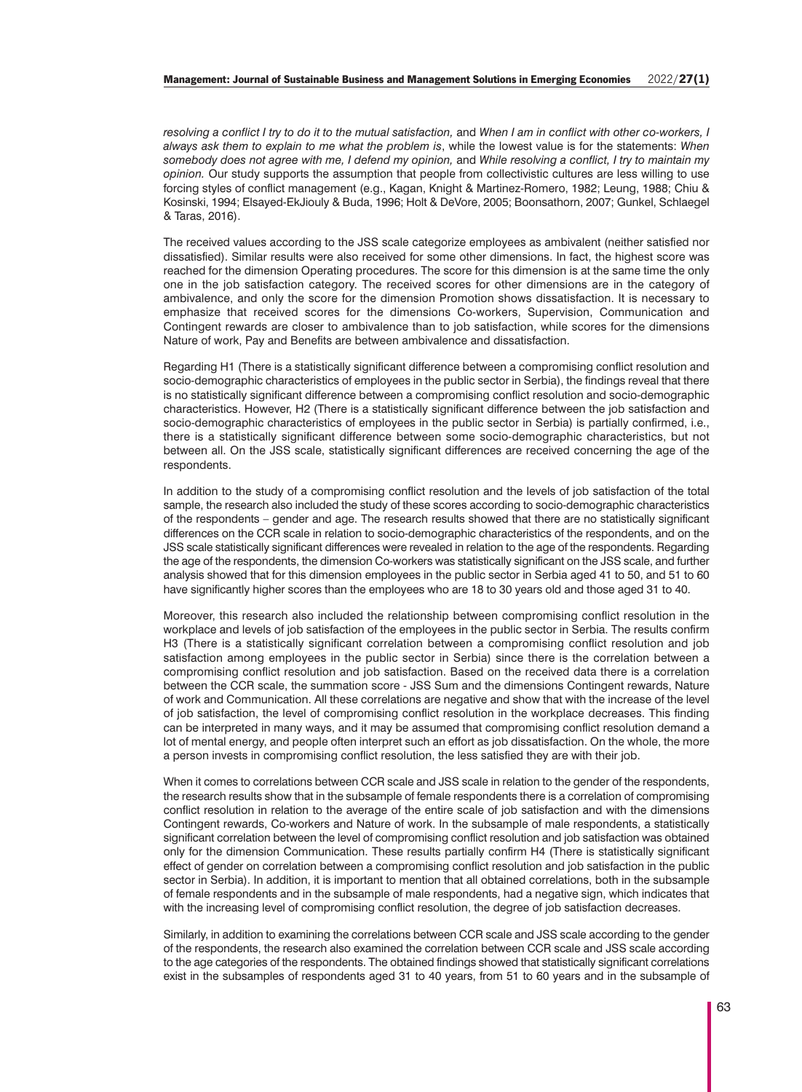*resolving a conflict I try to do it to the mutual satisfaction,* and *When I am in conflict with other co-workers, I always ask them to explain to me what the problem is*, while the lowest value is for the statements: *When somebody does not agree with me, I defend my opinion,* and *While resolving a conflict, I try to maintain my opinion.* Our study supports the assumption that people from collectivistic cultures are less willing to use forcing styles of conflict management (e.g., Kagan, Knight & Martinez-Romero, 1982; Leung, 1988; Chiu & Kosinski, 1994; Elsayed-EkJiouly & Buda, 1996; Holt & DeVore, 2005; Boonsathorn, 2007; Gunkel, Schlaegel & Taras, 2016).

The received values according to the JSS scale categorize employees as ambivalent (neither satisfied nor dissatisfied). Similar results were also received for some other dimensions. In fact, the highest score was reached for the dimension Operating procedures. The score for this dimension is at the same time the only one in the job satisfaction category. The received scores for other dimensions are in the category of ambivalence, and only the score for the dimension Promotion shows dissatisfaction. It is necessary to emphasize that received scores for the dimensions Co-workers, Supervision, Communication and Contingent rewards are closer to ambivalence than to job satisfaction, while scores for the dimensions Nature of work, Pay and Benefits are between ambivalence and dissatisfaction.

Regarding H1 (There is a statistically significant difference between a compromising conflict resolution and socio-demographic characteristics of employees in the public sector in Serbia), the findings reveal that there is no statistically significant difference between a compromising conflict resolution and socio-demographic characteristics. However, H2 (There is a statistically significant difference between the job satisfaction and socio-demographic characteristics of employees in the public sector in Serbia) is partially confirmed, i.e., there is a statistically significant difference between some socio-demographic characteristics, but not between all. On the JSS scale, statistically significant differences are received concerning the age of the respondents.

In addition to the study of a compromising conflict resolution and the levels of job satisfaction of the total sample, the research also included the study of these scores according to socio-demographic characteristics of the respondents – gender and age. The research results showed that there are no statistically significant differences on the CCR scale in relation to socio-demographic characteristics of the respondents, and on the JSS scale statistically significant differences were revealed in relation to the age of the respondents. Regarding the age of the respondents, the dimension Co-workers was statistically significant on the JSS scale, and further analysis showed that for this dimension employees in the public sector in Serbia aged 41 to 50, and 51 to 60 have significantly higher scores than the employees who are 18 to 30 years old and those aged 31 to 40.

Moreover, this research also included the relationship between compromising conflict resolution in the workplace and levels of job satisfaction of the employees in the public sector in Serbia. The results confirm H3 (There is a statistically significant correlation between a compromising conflict resolution and job satisfaction among employees in the public sector in Serbia) since there is the correlation between a compromising conflict resolution and job satisfaction. Based on the received data there is a correlation between the CCR scale, the summation score - JSS Sum and the dimensions Contingent rewards, Nature of work and Communication. All these correlations are negative and show that with the increase of the level of job satisfaction, the level of compromising conflict resolution in the workplace decreases. This finding can be interpreted in many ways, and it may be assumed that compromising conflict resolution demand a lot of mental energy, and people often interpret such an effort as job dissatisfaction. On the whole, the more a person invests in compromising conflict resolution, the less satisfied they are with their job.

When it comes to correlations between CCR scale and JSS scale in relation to the gender of the respondents, the research results show that in the subsample of female respondents there is a correlation of compromising conflict resolution in relation to the average of the entire scale of job satisfaction and with the dimensions Contingent rewards, Co-workers and Nature of work. In the subsample of male respondents, a statistically significant correlation between the level of compromising conflict resolution and job satisfaction was obtained only for the dimension Communication. These results partially confirm H4 (There is statistically significant effect of gender on correlation between a compromising conflict resolution and job satisfaction in the public sector in Serbia). In addition, it is important to mention that all obtained correlations, both in the subsample of female respondents and in the subsample of male respondents, had a negative sign, which indicates that with the increasing level of compromising conflict resolution, the degree of job satisfaction decreases.

Similarly, in addition to examining the correlations between CCR scale and JSS scale according to the gender of the respondents, the research also examined the correlation between CCR scale and JSS scale according to the age categories of the respondents. The obtained findings showed that statistically significant correlations exist in the subsamples of respondents aged 31 to 40 years, from 51 to 60 years and in the subsample of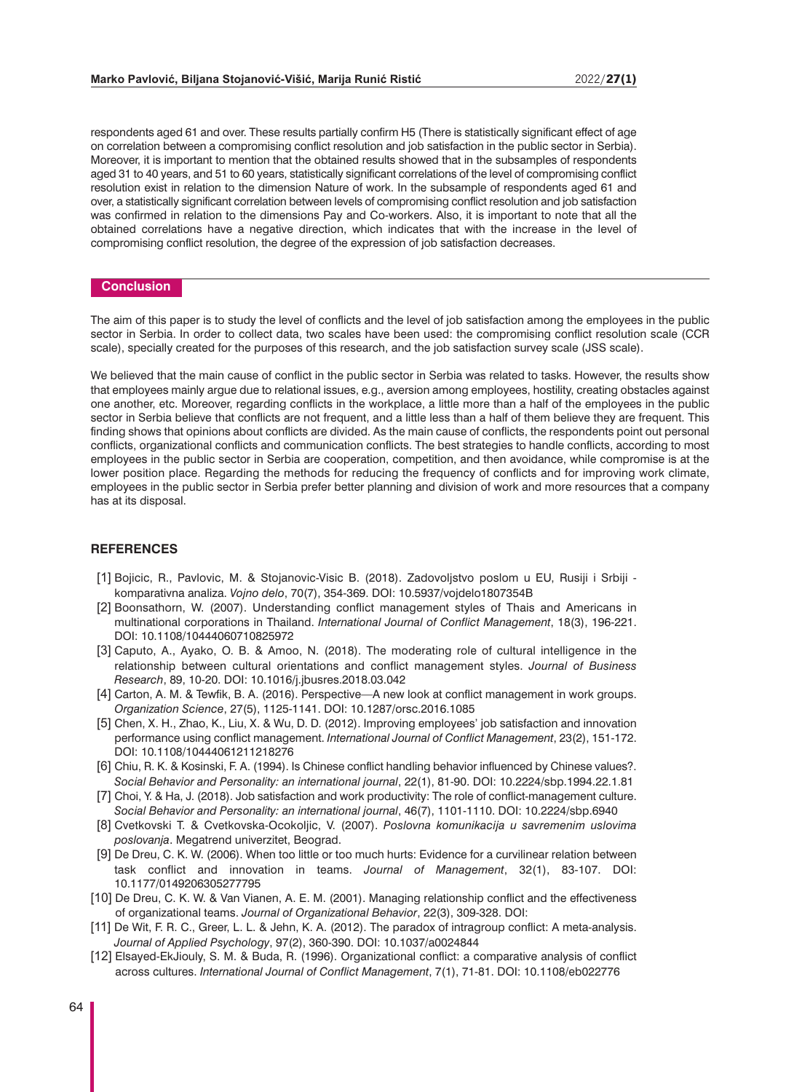respondents aged 61 and over. These results partially confirm H5 (There is statistically significant effect of age on correlation between a compromising conflict resolution and job satisfaction in the public sector in Serbia). Moreover, it is important to mention that the obtained results showed that in the subsamples of respondents aged 31 to 40 years, and 51 to 60 years, statistically significant correlations of the level of compromising conflict resolution exist in relation to the dimension Nature of work. In the subsample of respondents aged 61 and over, a statistically significant correlation between levels of compromising conflict resolution and job satisfaction was confirmed in relation to the dimensions Pay and Co-workers. Also, it is important to note that all the obtained correlations have a negative direction, which indicates that with the increase in the level of compromising conflict resolution, the degree of the expression of job satisfaction decreases.

#### **Conclusion**

The aim of this paper is to study the level of conflicts and the level of job satisfaction among the employees in the public sector in Serbia. In order to collect data, two scales have been used: the compromising conflict resolution scale (CCR scale), specially created for the purposes of this research, and the job satisfaction survey scale (JSS scale).

We believed that the main cause of conflict in the public sector in Serbia was related to tasks. However, the results show that employees mainly argue due to relational issues, e.g., aversion among employees, hostility, creating obstacles against one another, etc. Moreover, regarding conflicts in the workplace, a little more than a half of the employees in the public sector in Serbia believe that conflicts are not frequent, and a little less than a half of them believe they are frequent. This finding shows that opinions about conflicts are divided. As the main cause of conflicts, the respondents point out personal conflicts, organizational conflicts and communication conflicts. The best strategies to handle conflicts, according to most employees in the public sector in Serbia are cooperation, competition, and then avoidance, while compromise is at the lower position place. Regarding the methods for reducing the frequency of conflicts and for improving work climate, employees in the public sector in Serbia prefer better planning and division of work and more resources that a company has at its disposal.

#### **REFERENCES**

- [1] Bojicic, R., Pavlovic, M. & Stojanovic-Visic B. (2018). Zadovoljstvo poslom u EU, Rusiji i Srbiji komparativna analiza. *Vojno delo*, 70(7), 354-369. DOI: 10.5937/vojdelo1807354B
- [2] Boonsathorn, W. (2007). Understanding conflict management styles of Thais and Americans in multinational corporations in Thailand. *International Journal of Conflict Management*, 18(3), 196-221. DOI: 10.1108/10444060710825972
- [3] Caputo, A., Ayako, O. B. & Amoo, N. (2018). The moderating role of cultural intelligence in the relationship between cultural orientations and conflict management styles. *Journal of Business Research*, 89, 10-20. DOI: 10.1016/j.jbusres.2018.03.042
- [4] Carton, A. M. & Tewfik, B. A. (2016). Perspective—A new look at conflict management in work groups. *Organization Science*, 27(5), 1125-1141. DOI: 10.1287/orsc.2016.1085
- [5] Chen, X. H., Zhao, K., Liu, X. & Wu, D. D. (2012). Improving employees' job satisfaction and innovation performance using conflict management. *International Journal of Conflict Management*, 23(2), 151-172. DOI: 10.1108/10444061211218276
- [6] Chiu, R. K. & Kosinski, F. A. (1994). Is Chinese conflict handling behavior influenced by Chinese values?. *Social Behavior and Personality: an international journal*, 22(1), 81-90. DOI: 10.2224/sbp.1994.22.1.81
- [7] Choi, Y. & Ha, J. (2018). Job satisfaction and work productivity: The role of conflict-management culture. *Social Behavior and Personality: an international journal*, 46(7), 1101-1110. DOI: 10.2224/sbp.6940
- [8] Cvetkovski T. & Cvetkovska-Ocokoljic, V. (2007). *Poslovna komunikacija u savremenim uslovima poslovanja*. Megatrend univerzitet, Beograd.
- [9] De Dreu, C. K. W. (2006). When too little or too much hurts: Evidence for a curvilinear relation between task conflict and innovation in teams. *Journal of Management*, 32(1), 83-107. DOI: 10.1177/0149206305277795
- [10] De Dreu, C. K. W. & Van Vianen, A. E. M. (2001). Managing relationship conflict and the effectiveness of organizational teams. *Journal of Organizational Behavior*, 22(3), 309-328. DOI:
- [11] De Wit, F. R. C., Greer, L. L. & Jehn, K. A. (2012). The paradox of intragroup conflict: A meta-analysis. *Journal of Applied Psychology*, 97(2), 360-390. DOI: 10.1037/a0024844
- [12] Elsayed-EkJiouly, S. M. & Buda, R. (1996). Organizational conflict: a comparative analysis of conflict across cultures. *International Journal of Conflict Management*, 7(1), 71-81. DOI: 10.1108/eb022776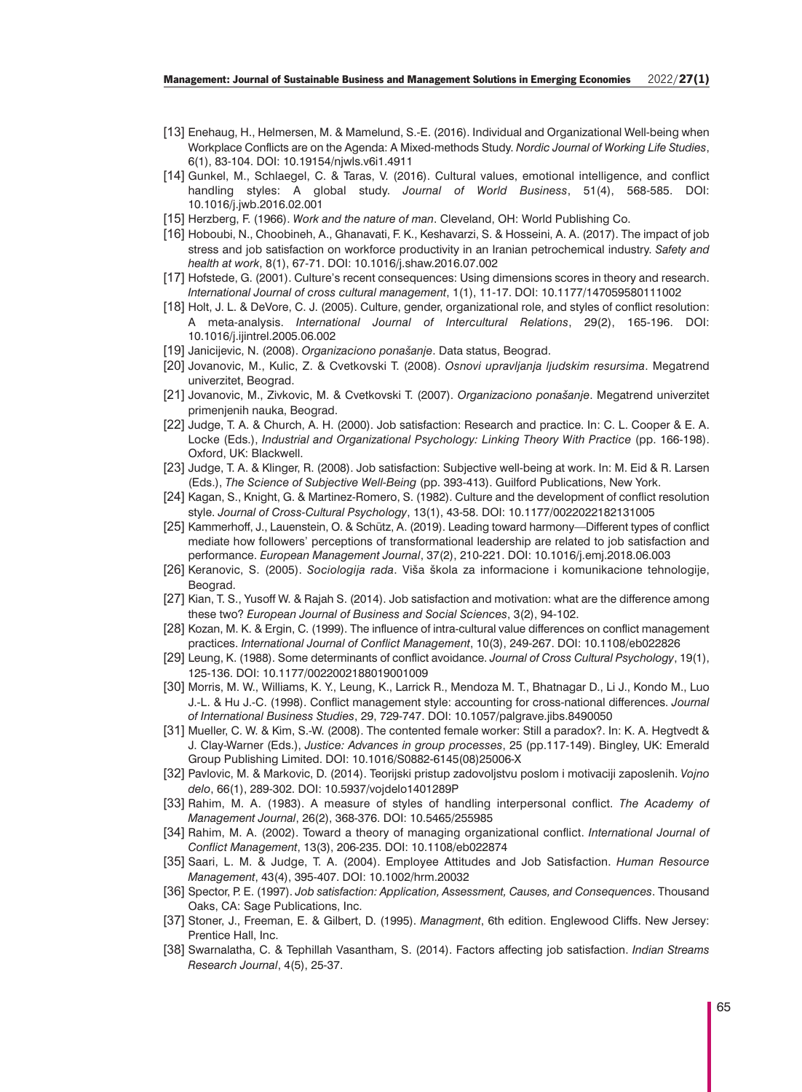- [13] Enehaug, H., Helmersen, M. & Mamelund, S.-E. (2016). Individual and Organizational Well-being when Workplace Conflicts are on the Agenda: A Mixed-methods Study. *Nordic Journal of Working Life Studies*, 6(1), 83-104. DOI: 10.19154/njwls.v6i1.4911
- [14] Gunkel, M., Schlaegel, C. & Taras, V. (2016). Cultural values, emotional intelligence, and conflict handling styles: A global study. *Journal of World Business*, 51(4), 568-585. DOI: 10.1016/j.jwb.2016.02.001
- [15] Herzberg, F. (1966). *Work and the nature of man*. Cleveland, OH: World Publishing Co.
- [16] Hoboubi, N., Choobineh, A., Ghanavati, F. K., Keshavarzi, S. & Hosseini, A. A. (2017). The impact of job stress and job satisfaction on workforce productivity in an Iranian petrochemical industry. *Safety and health at work*, 8(1), 67-71. DOI: 10.1016/j.shaw.2016.07.002
- [17] Hofstede, G. (2001). Culture's recent consequences: Using dimensions scores in theory and research. *International Journal of cross cultural management*, 1(1), 11-17. DOI: 10.1177/147059580111002
- [18] Holt, J. L. & DeVore, C. J. (2005). Culture, gender, organizational role, and styles of conflict resolution: A meta-analysis. *International Journal of Intercultural Relations*, 29(2), 165-196. DOI: 10.1016/j.ijintrel.2005.06.002
- [19] Janicijevic, N. (2008). *Organizaciono ponašanje*. Data status, Beograd.
- [20] Jovanovic, M., Kulic, Z. & Cvetkovski T. (2008). *Osnovi upravljanja ljudskim resursima*. Megatrend univerzitet, Beograd.
- [21] Jovanovic, M., Zivkovic, M. & Cvetkovski T. (2007). *Organizaciono ponašanje*. Megatrend univerzitet primenjenih nauka, Beograd.
- [22] Judge, T. A. & Church, A. H. (2000). Job satisfaction: Research and practice. In: C. L. Cooper & E. A. Locke (Eds.), *Industrial and Organizational Psychology: Linking Theory With Practice* (pp. 166-198). Oxford, UK: Blackwell.
- [23] Judge, T. A. & Klinger, R. (2008). Job satisfaction: Subjective well-being at work. In: M. Eid & R. Larsen (Eds.), *The Science of Subjective Well-Being* (pp. 393-413). Guilford Publications, New York.
- [24] Kagan, S., Knight, G. & Martinez-Romero, S. (1982). Culture and the development of conflict resolution style. *Journal of Cross-Cultural Psychology*, 13(1), 43-58. DOI: 10.1177/0022022182131005
- [25] Kammerhoff, J., Lauenstein, O. & Schütz, A. (2019). Leading toward harmony—Different types of conflict mediate how followers' perceptions of transformational leadership are related to job satisfaction and performance. *European Management Journal*, 37(2), 210-221. DOI: 10.1016/j.emj.2018.06.003
- [26] Keranovic, S. (2005). *Sociologija rada*. Viša škola za informacione i komunikacione tehnologije, Beograd.
- [27] Kian, T. S., Yusoff W. & Rajah S. (2014). Job satisfaction and motivation: what are the difference among these two? *European Journal of Business and Social Sciences*, 3(2), 94-102.
- [28] Kozan, M. K. & Ergin, C. (1999). The influence of intra-cultural value differences on conflict management practices. *International Journal of Conflict Management*, 10(3), 249-267. DOI: 10.1108/eb022826
- [29] Leung, K. (1988). Some determinants of conflict avoidance. *Journal of Cross Cultural Psychology*, 19(1), 125-136. DOI: 10.1177/0022002188019001009
- [30] Morris, M. W., Williams, K. Y., Leung, K., Larrick R., Mendoza M. T., Bhatnagar D., Li J., Kondo M., Luo J.-L. & Hu J.-C. (1998). Conflict management style: accounting for cross-national differences. *Journal of International Business Studies*, 29, 729-747. DOI: 10.1057/palgrave.jibs.8490050
- [31] Mueller, C. W. & Kim, S.-W. (2008). The contented female worker: Still a paradox?. In: K. A. Hegtvedt & J. Clay-Warner (Eds.), *Justice: Advances in group processes*, 25 (pp.117-149). Bingley, UK: Emerald Group Publishing Limited. DOI: 10.1016/S0882-6145(08)25006-X
- [32] Pavlovic, M. & Markovic, D. (2014). Teorijski pristup zadovoljstvu poslom i motivaciji zaposlenih. *Vojno delo*, 66(1), 289-302. DOI: 10.5937/vojdelo1401289P
- [33] Rahim, M. A. (1983). A measure of styles of handling interpersonal conflict. *The Academy of Management Journal*, 26(2), 368-376. DOI: 10.5465/255985
- [34] Rahim, M. A. (2002). Toward a theory of managing organizational conflict. *International Journal of Conflict Management*, 13(3), 206-235. DOI: 10.1108/eb022874
- [35] Saari, L. M. & Judge, T. A. (2004). Employee Attitudes and Job Satisfaction. *Human Resource Management*, 43(4), 395-407. DOI: 10.1002/hrm.20032
- [36] Spector, P. E. (1997). *Job satisfaction: Application, Assessment, Causes, and Consequences*. Thousand Oaks, CA: Sage Publications, Inc.
- [37] Stoner, J., Freeman, E. & Gilbert, D. (1995). *Managment*, 6th edition. Englewood Cliffs. New Jersey: Prentice Hall, Inc.
- [38] Swarnalatha, C. & Tephillah Vasantham, S. (2014). Factors affecting job satisfaction. *Indian Streams Research Journal*, 4(5), 25-37.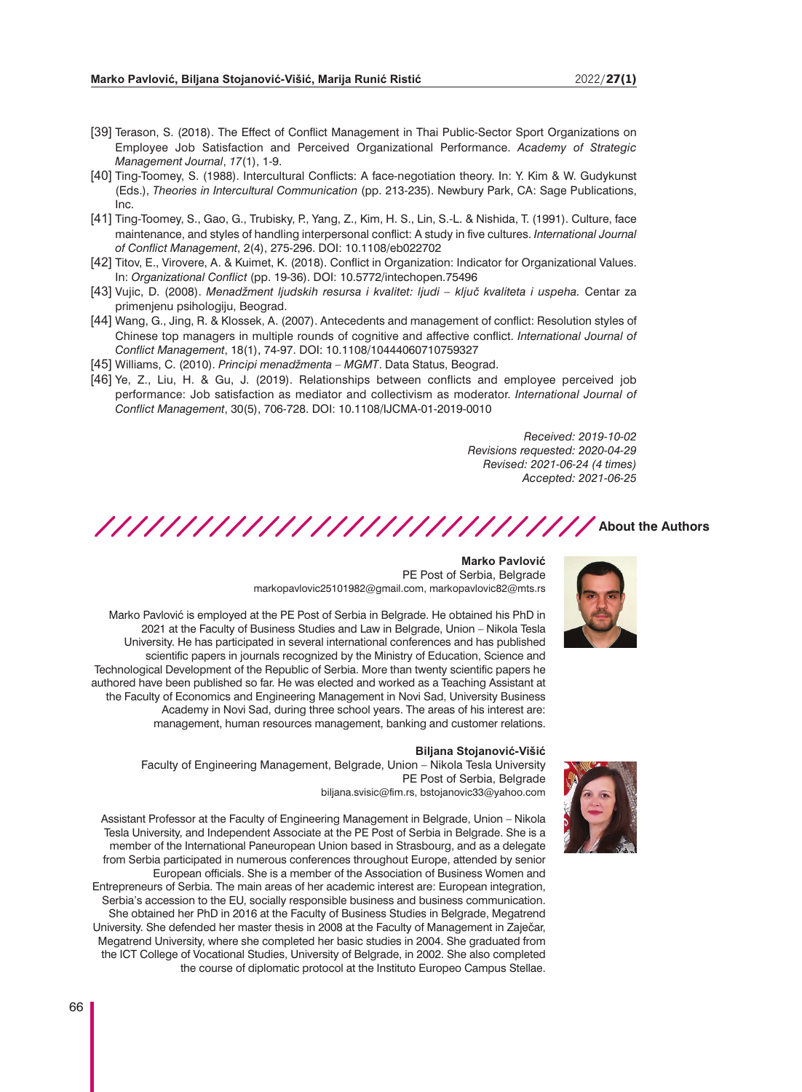- [39] Terason, S. (2018). The Effect of Conflict Management in Thai Public-Sector Sport Organizations on Employee Job Satisfaction and Perceived Organizational Performance. *Academy of Strategic Management Journal*, *17*(1), 1-9.
- [40] Ting-Toomey, S. (1988). Intercultural Conflicts: A face-negotiation theory. In: Y. Kim & W. Gudykunst (Eds.), *Theories in Intercultural Communication* (pp. 213-235). Newbury Park, CA: Sage Publications, Inc.
- [41] Ting-Toomey, S., Gao, G., Trubisky, P., Yang, Z., Kim, H. S., Lin, S.-L. & Nishida, T. (1991). Culture, face maintenance, and styles of handling interpersonal conflict: A study in five cultures. *International Journal of Conflict Management*, 2(4), 275-296. DOI: 10.1108/eb022702
- [42] Titov, E., Virovere, A. & Kuimet, K. (2018). Conflict in Organization: Indicator for Organizational Values. In: *Organizational Conflict* (pp. 19-36). DOI: 10.5772/intechopen.75496
- [43] Vujic, D. (2008). *Menadžment ljudskih resursa i kvalitet: ljudi ključ kvaliteta i uspeha.* Centar za primenjenu psihologiju, Beograd.
- [44] Wang, G., Jing, R. & Klossek, A. (2007). Antecedents and management of conflict: Resolution styles of Chinese top managers in multiple rounds of cognitive and affective conflict. *International Journal of Conflict Management*, 18(1), 74-97. DOI: 10.1108/10444060710759327
- [45] Williams, C. (2010). *Principi menadžmenta MGMT*. Data Status, Beograd.
- [46] Ye, Z., Liu, H. & Gu, J. (2019). Relationships between conflicts and employee perceived job performance: Job satisfaction as mediator and collectivism as moderator. *International Journal of Conflict Management*, 30(5), 706-728. DOI: 10.1108/IJCMA-01-2019-0010

*Received: 2019-10-02 Revisions requested: 2020-04-29 Revised: 2021-06-24 (4 times) Accepted: 2021-06-25*

/////////////////////////////// About the Authors

#### **Marko Pavlović** PE Post of Serbia, Belgrade

markopavlovic25101982@gmail.com, markopavlovic82@mts.rs

Marko Pavlović is employed at the PE Post of Serbia in Belgrade. He obtained his PhD in 2021 at the Faculty of Business Studies and Law in Belgrade, Union – Nikola Tesla University. He has participated in several international conferences and has published scientific papers in journals recognized by the Ministry of Education, Science and Technological Development of the Republic of Serbia. More than twenty scientific papers he authored have been published so far. He was elected and worked as a Teaching Assistant at the Faculty of Economics and Engineering Management in Novi Sad, University Business Academy in Novi Sad, during three school years. The areas of his interest are: management, human resources management, banking and customer relations.

#### **Biljana Stojanović-Višić**

Faculty of Engineering Management, Belgrade, Union – Nikola Tesla University PE Post of Serbia, Belgrade biljana.svisic@fim.rs, bstojanovic33@yahoo.com

Assistant Professor at the Faculty of Engineering Management in Belgrade, Union – Nikola Tesla University, and Independent Associate at the PE Post of Serbia in Belgrade. She is a member of the International Paneuropean Union based in Strasbourg, and as a delegate from Serbia participated in numerous conferences throughout Europe, attended by senior European officials. She is a member of the Association of Business Women and Entrepreneurs of Serbia. The main areas of her academic interest are: European integration, Serbia's accession to the EU, socially responsible business and business communication. She obtained her PhD in 2016 at the Faculty of Business Studies in Belgrade, Megatrend University. She defended her master thesis in 2008 at the Faculty of Management in Zaječar, Megatrend University, where she completed her basic studies in 2004. She graduated from the ICT College of Vocational Studies, University of Belgrade, in 2002. She also completed the course of diplomatic protocol at the Instituto Europeo Campus Stellae.